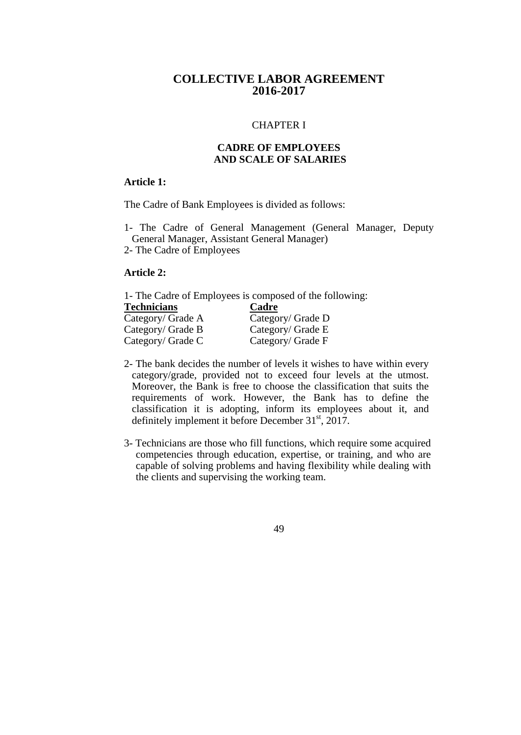# **COLLECTIVE LABOR AGREEMENT 2016-2017**

#### CHAPTER I

## **CADRE OF EMPLOYEES AND SCALE OF SALARIES**

### **Article 1:**

The Cadre of Bank Employees is divided as follows:

- 1- The Cadre of General Management (General Manager, Deputy General Manager, Assistant General Manager)
- 2- The Cadre of Employees

### **Article 2:**

1- The Cadre of Employees is composed of the following:

| <b>Technicians</b> | Cadre             |
|--------------------|-------------------|
| Category/ Grade A  | Category/ Grade D |
| Category/ Grade B  | Category/ Grade E |
| Category/ Grade C  | Category/ Grade F |

- 2- The bank decides the number of levels it wishes to have within every category/grade, provided not to exceed four levels at the utmost. Moreover, the Bank is free to choose the classification that suits the requirements of work. However, the Bank has to define the classification it is adopting, inform its employees about it, and definitely implement it before December  $31<sup>st</sup>$ ,  $2017$ .
- 3- Technicians are those who fill functions, which require some acquired competencies through education, expertise, or training, and who are capable of solving problems and having flexibility while dealing with the clients and supervising the working team.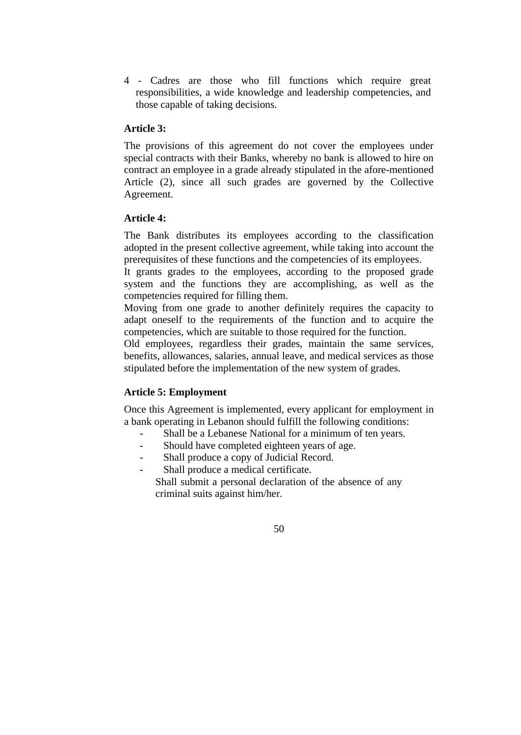4 - Cadres are those who fill functions which require great responsibilities, a wide knowledge and leadership competencies, and those capable of taking decisions.

## **Article 3:**

The provisions of this agreement do not cover the employees under special contracts with their Banks, whereby no bank is allowed to hire on contract an employee in a grade already stipulated in the afore-mentioned Article (2), since all such grades are governed by the Collective Agreement.

## **Article 4:**

The Bank distributes its employees according to the classification adopted in the present collective agreement, while taking into account the prerequisites of these functions and the competencies of its employees.

It grants grades to the employees, according to the proposed grade system and the functions they are accomplishing, as well as the competencies required for filling them.

Moving from one grade to another definitely requires the capacity to adapt oneself to the requirements of the function and to acquire the competencies, which are suitable to those required for the function.

Old employees, regardless their grades, maintain the same services, benefits, allowances, salaries, annual leave, and medical services as those stipulated before the implementation of the new system of grades.

## **Article 5: Employment**

Once this Agreement is implemented, every applicant for employment in a bank operating in Lebanon should fulfill the following conditions:

- Shall be a Lebanese National for a minimum of ten years.
- Should have completed eighteen years of age.
- Shall produce a copy of Judicial Record.
- Shall produce a medical certificate.

Shall submit a personal declaration of the absence of any criminal suits against him/her.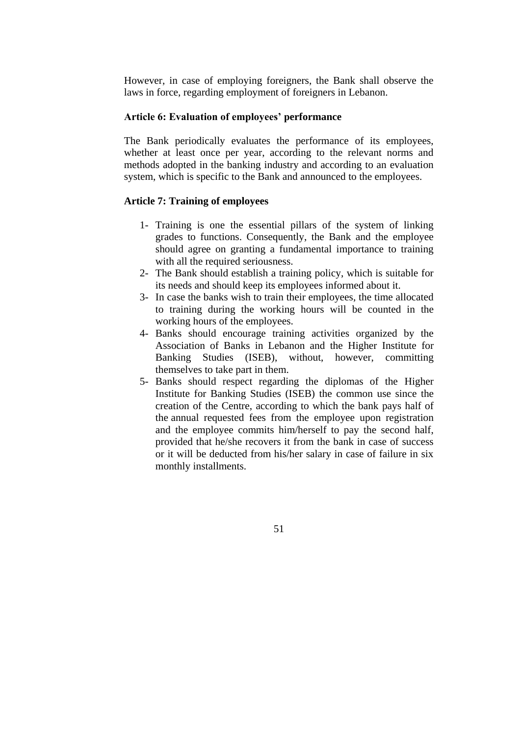However, in case of employing foreigners, the Bank shall observe the laws in force, regarding employment of foreigners in Lebanon.

#### **Article 6: Evaluation of employees' performance**

The Bank periodically evaluates the performance of its employees, whether at least once per year, according to the relevant norms and methods adopted in the banking industry and according to an evaluation system, which is specific to the Bank and announced to the employees.

### **Article 7: Training of employees**

- 1- Training is one the essential pillars of the system of linking grades to functions. Consequently, the Bank and the employee should agree on granting a fundamental importance to training with all the required seriousness.
- 2- The Bank should establish a training policy, which is suitable for its needs and should keep its employees informed about it.
- 3- In case the banks wish to train their employees, the time allocated to training during the working hours will be counted in the working hours of the employees.
- 4- Banks should encourage training activities organized by the Association of Banks in Lebanon and the Higher Institute for Banking Studies (ISEB), without, however, committing themselves to take part in them.
- 5- Banks should respect regarding the diplomas of the Higher Institute for Banking Studies (ISEB) the common use since the creation of the Centre, according to which the bank pays half of the annual requested fees from the employee upon registration and the employee commits him/herself to pay the second half, provided that he/she recovers it from the bank in case of success or it will be deducted from his/her salary in case of failure in six monthly installments.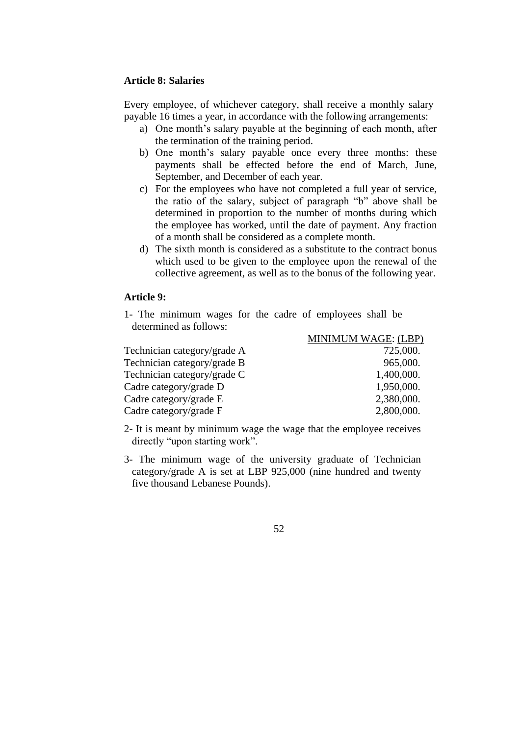#### **Article 8: Salaries**

Every employee, of whichever category, shall receive a monthly salary payable 16 times a year, in accordance with the following arrangements:

- a) One month's salary payable at the beginning of each month, after the termination of the training period.
- b) One month's salary payable once every three months: these payments shall be effected before the end of March, June, September, and December of each year.
- c) For the employees who have not completed a full year of service, the ratio of the salary, subject of paragraph "b" above shall be determined in proportion to the number of months during which the employee has worked, until the date of payment. Any fraction of a month shall be considered as a complete month.
- d) The sixth month is considered as a substitute to the contract bonus which used to be given to the employee upon the renewal of the collective agreement, as well as to the bonus of the following year.

#### **Article 9:**

1- The minimum wages for the cadre of employees shall be determined as follows:

|                             | MINIMUM WAGE: (LBP) |
|-----------------------------|---------------------|
| Technician category/grade A | 725,000.            |
| Technician category/grade B | 965,000.            |
| Technician category/grade C | 1,400,000.          |
| Cadre category/grade D      | 1,950,000.          |
| Cadre category/grade E      | 2,380,000.          |
| Cadre category/grade F      | 2,800,000.          |

- 2- It is meant by minimum wage the wage that the employee receives directly "upon starting work".
- 3- The minimum wage of the university graduate of Technician category/grade A is set at LBP 925,000 (nine hundred and twenty five thousand Lebanese Pounds).